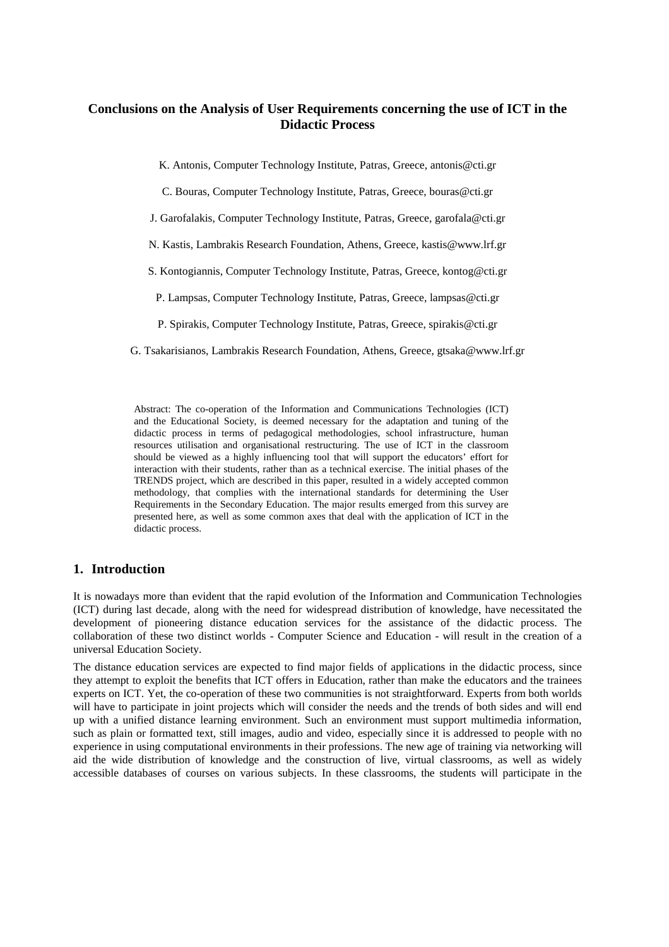# **Conclusions on the Analysis of User Requirements concerning the use of ICT in the Didactic Process**

K. Antonis, Computer Technology Institute, Patras, Greece, antonis@cti.gr

C. Bouras, Computer Technology Institute, Patras, Greece, bouras@cti.gr

J. Garofalakis, Computer Technology Institute, Patras, Greece, garofala@cti.gr

N. Kastis, Lambrakis Research Foundation, Athens, Greece, kastis@www.lrf.gr

S. Kontogiannis, Computer Technology Institute, Patras, Greece, kontog@cti.gr

P. Lampsas, Computer Technology Institute, Patras, Greece, lampsas@cti.gr

P. Spirakis, Computer Technology Institute, Patras, Greece, spirakis@cti.gr

G. Tsakarisianos, Lambrakis Research Foundation, Athens, Greece, gtsaka@www.lrf.gr

Abstract: The co-operation of the Information and Communications Technologies (ICT) and the Educational Society, is deemed necessary for the adaptation and tuning of the didactic process in terms of pedagogical methodologies, school infrastructure, human resources utilisation and organisational restructuring. The use of ICT in the classroom should be viewed as a highly influencing tool that will support the educators' effort for interaction with their students, rather than as a technical exercise. The initial phases of the TRENDS project, which are described in this paper, resulted in a widely accepted common methodology, that complies with the international standards for determining the User Requirements in the Secondary Education. The major results emerged from this survey are presented here, as well as some common axes that deal with the application of ICT in the didactic process.

#### **1. Introduction**

It is nowadays more than evident that the rapid evolution of the Information and Communication Technologies (ICT) during last decade, along with the need for widespread distribution of knowledge, have necessitated the development of pioneering distance education services for the assistance of the didactic process. The collaboration of these two distinct worlds - Computer Science and Education - will result in the creation of a universal Education Society.

The distance education services are expected to find major fields of applications in the didactic process, since they attempt to exploit the benefits that ICT offers in Education, rather than make the educators and the trainees experts on ICT. Yet, the co-operation of these two communities is not straightforward. Experts from both worlds will have to participate in joint projects which will consider the needs and the trends of both sides and will end up with a unified distance learning environment. Such an environment must support multimedia information, such as plain or formatted text, still images, audio and video, especially since it is addressed to people with no experience in using computational environments in their professions. The new age of training via networking will aid the wide distribution of knowledge and the construction of live, virtual classrooms, as well as widely accessible databases of courses on various subjects. In these classrooms, the students will participate in the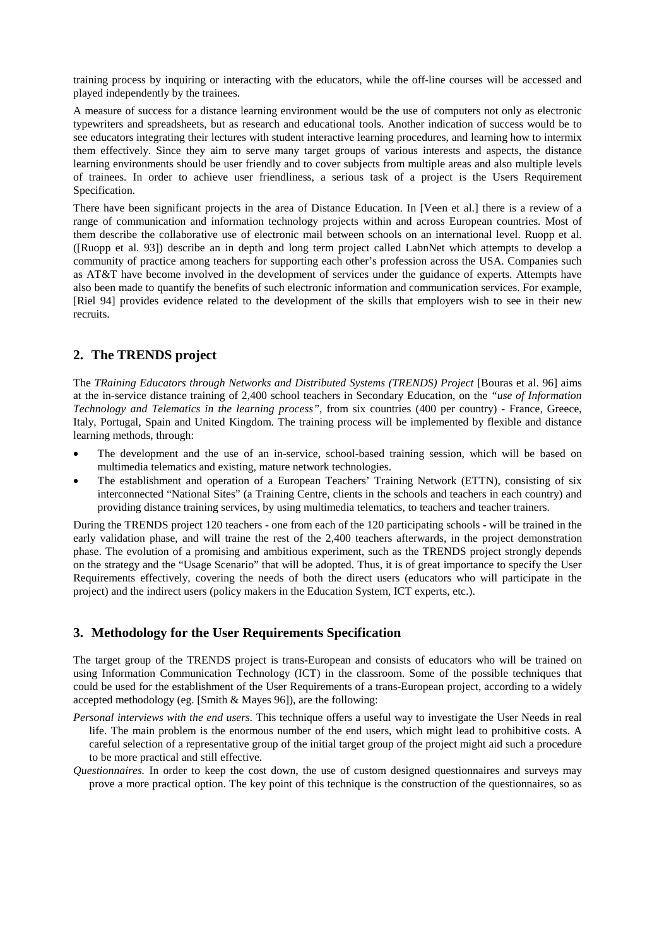training process by inquiring or interacting with the educators, while the off-line courses will be accessed and played independently by the trainees.

A measure of success for a distance learning environment would be the use of computers not only as electronic typewriters and spreadsheets, but as research and educational tools. Another indication of success would be to see educators integrating their lectures with student interactive learning procedures, and learning how to intermix them effectively. Since they aim to serve many target groups of various interests and aspects, the distance learning environments should be user friendly and to cover subjects from multiple areas and also multiple levels of trainees. In order to achieve user friendliness, a serious task of a project is the Users Requirement Specification.

There have been significant projects in the area of Distance Education. In [Veen et al.] there is a review of a range of communication and information technology projects within and across European countries. Most of them describe the collaborative use of electronic mail between schools on an international level. Ruopp et al. ([Ruopp et al. 93]) describe an in depth and long term project called LabnNet which attempts to develop a community of practice among teachers for supporting each other's profession across the USA. Companies such as AT&T have become involved in the development of services under the guidance of experts. Attempts have also been made to quantify the benefits of such electronic information and communication services. For example, [Riel 94] provides evidence related to the development of the skills that employers wish to see in their new recruits.

# **2. The TRENDS project**

The *TRaining Educators through Networks and Distributed Systems (TRENDS) Project* [Bouras et al. 96] aims at the in-service distance training of 2,400 school teachers in Secondary Education, on the *"use of Information Technology and Telematics in the learning process",* from six countries (400 per country) - France, Greece, Italy, Portugal, Spain and United Kingdom. The training process will be implemented by flexible and distance learning methods, through:

- The development and the use of an in-service, school-based training session, which will be based on multimedia telematics and existing, mature network technologies.
- The establishment and operation of a European Teachers' Training Network (ETTN), consisting of six interconnected "National Sites" (a Training Centre, clients in the schools and teachers in each country) and providing distance training services, by using multimedia telematics, to teachers and teacher trainers.

During the TRENDS project 120 teachers - one from each of the 120 participating schools - will be trained in the early validation phase, and will traine the rest of the 2,400 teachers afterwards, in the project demonstration phase. The evolution of a promising and ambitious experiment, such as the TRENDS project strongly depends on the strategy and the "Usage Scenario" that will be adopted. Thus, it is of great importance to specify the User Requirements effectively, covering the needs of both the direct users (educators who will participate in the project) and the indirect users (policy makers in the Education System, ICT experts, etc.).

### **3. Methodology for the User Requirements Specification**

The target group of the TRENDS project is trans-European and consists of educators who will be trained on using Information Communication Technology (ICT) in the classroom. Some of the possible techniques that could be used for the establishment of the User Requirements of a trans-European project, according to a widely accepted methodology (eg. [Smith & Mayes 96]), are the following:

- *Personal interviews with the end users.* This technique offers a useful way to investigate the User Needs in real life. The main problem is the enormous number of the end users, which might lead to prohibitive costs. A careful selection of a representative group of the initial target group of the project might aid such a procedure to be more practical and still effective.
- *Questionnaires.* In order to keep the cost down, the use of custom designed questionnaires and surveys may prove a more practical option. The key point of this technique is the construction of the questionnaires, so as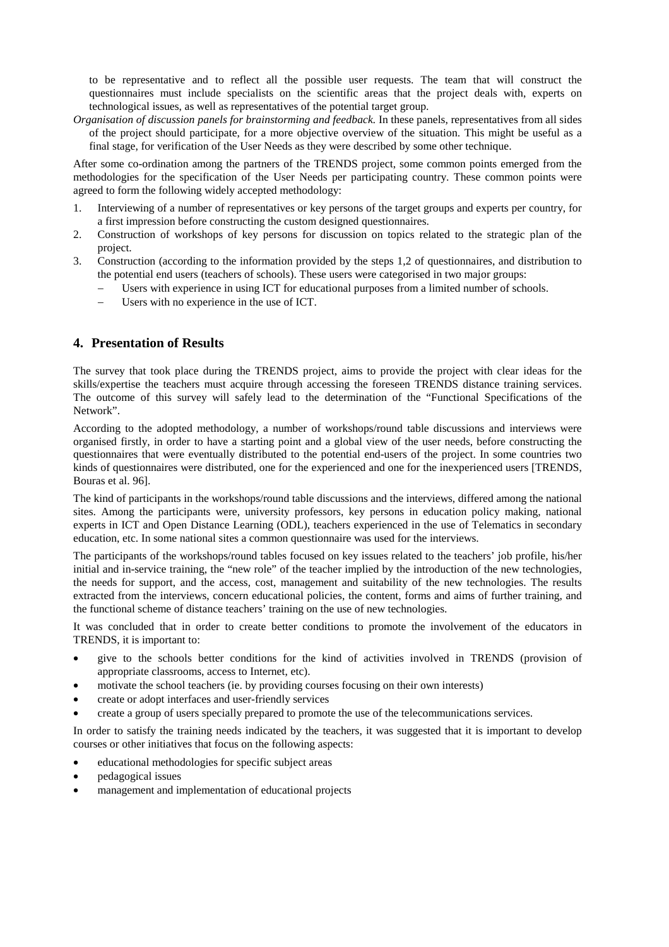to be representative and to reflect all the possible user requests. The team that will construct the questionnaires must include specialists on the scientific areas that the project deals with, experts on technological issues, as well as representatives of the potential target group.

*Organisation of discussion panels for brainstorming and feedback.* In these panels, representatives from all sides of the project should participate, for a more objective overview of the situation. This might be useful as a final stage, for verification of the User Needs as they were described by some other technique.

After some co-ordination among the partners of the TRENDS project, some common points emerged from the methodologies for the specification of the User Needs per participating country. These common points were agreed to form the following widely accepted methodology:

- 1. Interviewing of a number of representatives or key persons of the target groups and experts per country, for a first impression before constructing the custom designed questionnaires.
- 2. Construction of workshops of key persons for discussion on topics related to the strategic plan of the project.
- 3. Construction (according to the information provided by the steps 1,2 of questionnaires, and distribution to the potential end users (teachers of schools). These users were categorised in two major groups:
	- Users with experience in using ICT for educational purposes from a limited number of schools.
	- Users with no experience in the use of ICT.

## **4. Presentation of Results**

The survey that took place during the TRENDS project, aims to provide the project with clear ideas for the skills/expertise the teachers must acquire through accessing the foreseen TRENDS distance training services. The outcome of this survey will safely lead to the determination of the "Functional Specifications of the Network".

According to the adopted methodology, a number of workshops/round table discussions and interviews were organised firstly, in order to have a starting point and a global view of the user needs, before constructing the questionnaires that were eventually distributed to the potential end-users of the project. In some countries two kinds of questionnaires were distributed, one for the experienced and one for the inexperienced users [TRENDS, Bouras et al. 96].

The kind of participants in the workshops/round table discussions and the interviews, differed among the national sites. Among the participants were, university professors, key persons in education policy making, national experts in ICT and Open Distance Learning (ODL), teachers experienced in the use of Telematics in secondary education, etc. In some national sites a common questionnaire was used for the interviews.

The participants of the workshops/round tables focused on key issues related to the teachers' job profile, his/her initial and in-service training, the "new role" of the teacher implied by the introduction of the new technologies, the needs for support, and the access, cost, management and suitability of the new technologies. The results extracted from the interviews, concern educational policies, the content, forms and aims of further training, and the functional scheme of distance teachers' training on the use of new technologies.

It was concluded that in order to create better conditions to promote the involvement of the educators in TRENDS, it is important to:

- give to the schools better conditions for the kind of activities involved in TRENDS (provision of appropriate classrooms, access to Internet, etc).
- motivate the school teachers (ie. by providing courses focusing on their own interests)
- create or adopt interfaces and user-friendly services
- create a group of users specially prepared to promote the use of the telecommunications services.

In order to satisfy the training needs indicated by the teachers, it was suggested that it is important to develop courses or other initiatives that focus on the following aspects:

- educational methodologies for specific subject areas
- pedagogical issues
- management and implementation of educational projects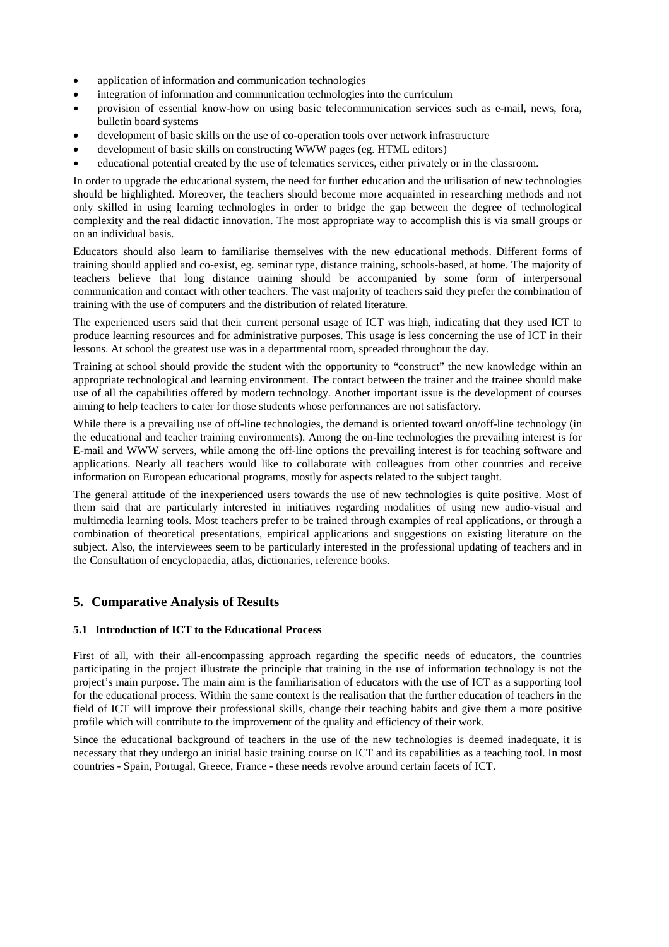- application of information and communication technologies
- integration of information and communication technologies into the curriculum
- provision of essential know-how on using basic telecommunication services such as e-mail, news, fora, bulletin board systems
- development of basic skills on the use of co-operation tools over network infrastructure
- development of basic skills on constructing WWW pages (eg. HTML editors)
- educational potential created by the use of telematics services, either privately or in the classroom.

In order to upgrade the educational system, the need for further education and the utilisation of new technologies should be highlighted. Moreover, the teachers should become more acquainted in researching methods and not only skilled in using learning technologies in order to bridge the gap between the degree of technological complexity and the real didactic innovation. The most appropriate way to accomplish this is via small groups or on an individual basis.

Educators should also learn to familiarise themselves with the new educational methods. Different forms of training should applied and co-exist, eg. seminar type, distance training, schools-based, at home. The majority of teachers believe that long distance training should be accompanied by some form of interpersonal communication and contact with other teachers. The vast majority of teachers said they prefer the combination of training with the use of computers and the distribution of related literature.

The experienced users said that their current personal usage of ICT was high, indicating that they used ICT to produce learning resources and for administrative purposes. This usage is less concerning the use of ICT in their lessons. At school the greatest use was in a departmental room, spreaded throughout the day.

Training at school should provide the student with the opportunity to "construct" the new knowledge within an appropriate technological and learning environment. The contact between the trainer and the trainee should make use of all the capabilities offered by modern technology. Another important issue is the development of courses aiming to help teachers to cater for those students whose performances are not satisfactory.

While there is a prevailing use of off-line technologies, the demand is oriented toward on/off-line technology (in the educational and teacher training environments). Among the on-line technologies the prevailing interest is for E-mail and WWW servers, while among the off-line options the prevailing interest is for teaching software and applications. Nearly all teachers would like to collaborate with colleagues from other countries and receive information on European educational programs, mostly for aspects related to the subject taught.

The general attitude of the inexperienced users towards the use of new technologies is quite positive. Most of them said that are particularly interested in initiatives regarding modalities of using new audio-visual and multimedia learning tools. Most teachers prefer to be trained through examples of real applications, or through a combination of theoretical presentations, empirical applications and suggestions on existing literature on the subject. Also, the interviewees seem to be particularly interested in the professional updating of teachers and in the Consultation of encyclopaedia, atlas, dictionaries, reference books.

# **5. Comparative Analysis of Results**

### **5.1 Introduction of ICT to the Educational Process**

First of all, with their all-encompassing approach regarding the specific needs of educators, the countries participating in the project illustrate the principle that training in the use of information technology is not the project's main purpose. The main aim is the familiarisation of educators with the use of ICT as a supporting tool for the educational process. Within the same context is the realisation that the further education of teachers in the field of ICT will improve their professional skills, change their teaching habits and give them a more positive profile which will contribute to the improvement of the quality and efficiency of their work.

Since the educational background of teachers in the use of the new technologies is deemed inadequate, it is necessary that they undergo an initial basic training course on ICT and its capabilities as a teaching tool. In most countries - Spain, Portugal, Greece, France - these needs revolve around certain facets of ICT.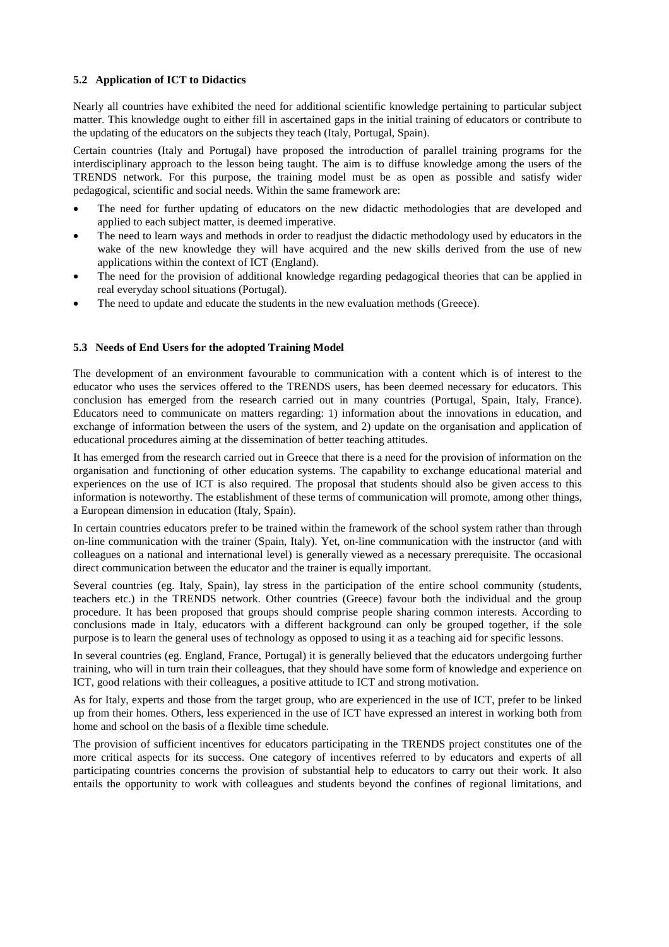#### **5.2 Application of ICT to Didactics**

Nearly all countries have exhibited the need for additional scientific knowledge pertaining to particular subject matter. This knowledge ought to either fill in ascertained gaps in the initial training of educators or contribute to the updating of the educators on the subjects they teach (Italy, Portugal, Spain).

Certain countries (Italy and Portugal) have proposed the introduction of parallel training programs for the interdisciplinary approach to the lesson being taught. The aim is to diffuse knowledge among the users of the TRENDS network. For this purpose, the training model must be as open as possible and satisfy wider pedagogical, scientific and social needs. Within the same framework are:

- The need for further updating of educators on the new didactic methodologies that are developed and applied to each subject matter, is deemed imperative.
- The need to learn ways and methods in order to readjust the didactic methodology used by educators in the wake of the new knowledge they will have acquired and the new skills derived from the use of new applications within the context of ICT (England).
- The need for the provision of additional knowledge regarding pedagogical theories that can be applied in real everyday school situations (Portugal).
- The need to update and educate the students in the new evaluation methods (Greece).

#### **5.3 Needs of End Users for the adopted Training Model**

The development of an environment favourable to communication with a content which is of interest to the educator who uses the services offered to the TRENDS users, has been deemed necessary for educators. This conclusion has emerged from the research carried out in many countries (Portugal, Spain, Italy, France). Educators need to communicate on matters regarding: 1) information about the innovations in education, and exchange of information between the users of the system, and 2) update on the organisation and application of educational procedures aiming at the dissemination of better teaching attitudes.

It has emerged from the research carried out in Greece that there is a need for the provision of information on the organisation and functioning of other education systems. The capability to exchange educational material and experiences on the use of ICT is also required. The proposal that students should also be given access to this information is noteworthy. The establishment of these terms of communication will promote, among other things, a European dimension in education (Italy, Spain).

In certain countries educators prefer to be trained within the framework of the school system rather than through on-line communication with the trainer (Spain, Italy). Yet, on-line communication with the instructor (and with colleagues on a national and international level) is generally viewed as a necessary prerequisite. The occasional direct communication between the educator and the trainer is equally important.

Several countries (eg. Italy, Spain), lay stress in the participation of the entire school community (students, teachers etc.) in the TRENDS network. Other countries (Greece) favour both the individual and the group procedure. It has been proposed that groups should comprise people sharing common interests. According to conclusions made in Italy, educators with a different background can only be grouped together, if the sole purpose is to learn the general uses of technology as opposed to using it as a teaching aid for specific lessons.

In several countries (eg. England, France, Portugal) it is generally believed that the educators undergoing further training, who will in turn train their colleagues, that they should have some form of knowledge and experience on ICT, good relations with their colleagues, a positive attitude to ICT and strong motivation.

As for Italy, experts and those from the target group, who are experienced in the use of ICT, prefer to be linked up from their homes. Others, less experienced in the use of ICT have expressed an interest in working both from home and school on the basis of a flexible time schedule.

The provision of sufficient incentives for educators participating in the TRENDS project constitutes one of the more critical aspects for its success. One category of incentives referred to by educators and experts of all participating countries concerns the provision of substantial help to educators to carry out their work. It also entails the opportunity to work with colleagues and students beyond the confines of regional limitations, and